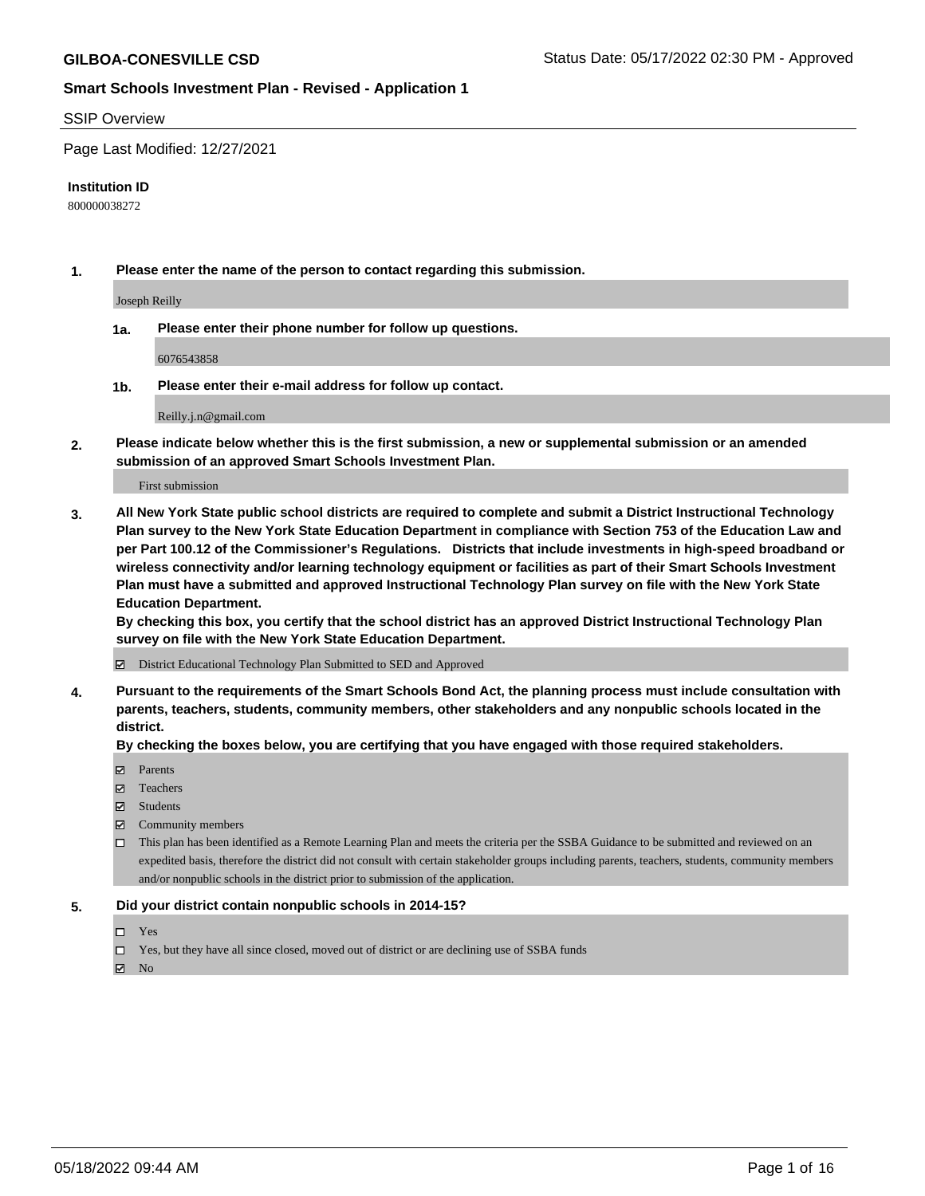#### SSIP Overview

Page Last Modified: 12/27/2021

#### **Institution ID**

800000038272

**1. Please enter the name of the person to contact regarding this submission.**

Joseph Reilly

**1a. Please enter their phone number for follow up questions.**

6076543858

**1b. Please enter their e-mail address for follow up contact.**

Reilly.j.n@gmail.com

**2. Please indicate below whether this is the first submission, a new or supplemental submission or an amended submission of an approved Smart Schools Investment Plan.**

First submission

**3. All New York State public school districts are required to complete and submit a District Instructional Technology Plan survey to the New York State Education Department in compliance with Section 753 of the Education Law and per Part 100.12 of the Commissioner's Regulations. Districts that include investments in high-speed broadband or wireless connectivity and/or learning technology equipment or facilities as part of their Smart Schools Investment Plan must have a submitted and approved Instructional Technology Plan survey on file with the New York State Education Department.** 

**By checking this box, you certify that the school district has an approved District Instructional Technology Plan survey on file with the New York State Education Department.**

District Educational Technology Plan Submitted to SED and Approved

**4. Pursuant to the requirements of the Smart Schools Bond Act, the planning process must include consultation with parents, teachers, students, community members, other stakeholders and any nonpublic schools located in the district.** 

**By checking the boxes below, you are certifying that you have engaged with those required stakeholders.**

- $\blacksquare$  Parents
- Teachers
- Students
- $\Xi$  Community members
- This plan has been identified as a Remote Learning Plan and meets the criteria per the SSBA Guidance to be submitted and reviewed on an expedited basis, therefore the district did not consult with certain stakeholder groups including parents, teachers, students, community members and/or nonpublic schools in the district prior to submission of the application.

#### **5. Did your district contain nonpublic schools in 2014-15?**

- Yes
- $\Box$  Yes, but they have all since closed, moved out of district or are declining use of SSBA funds

 $\boxtimes$  No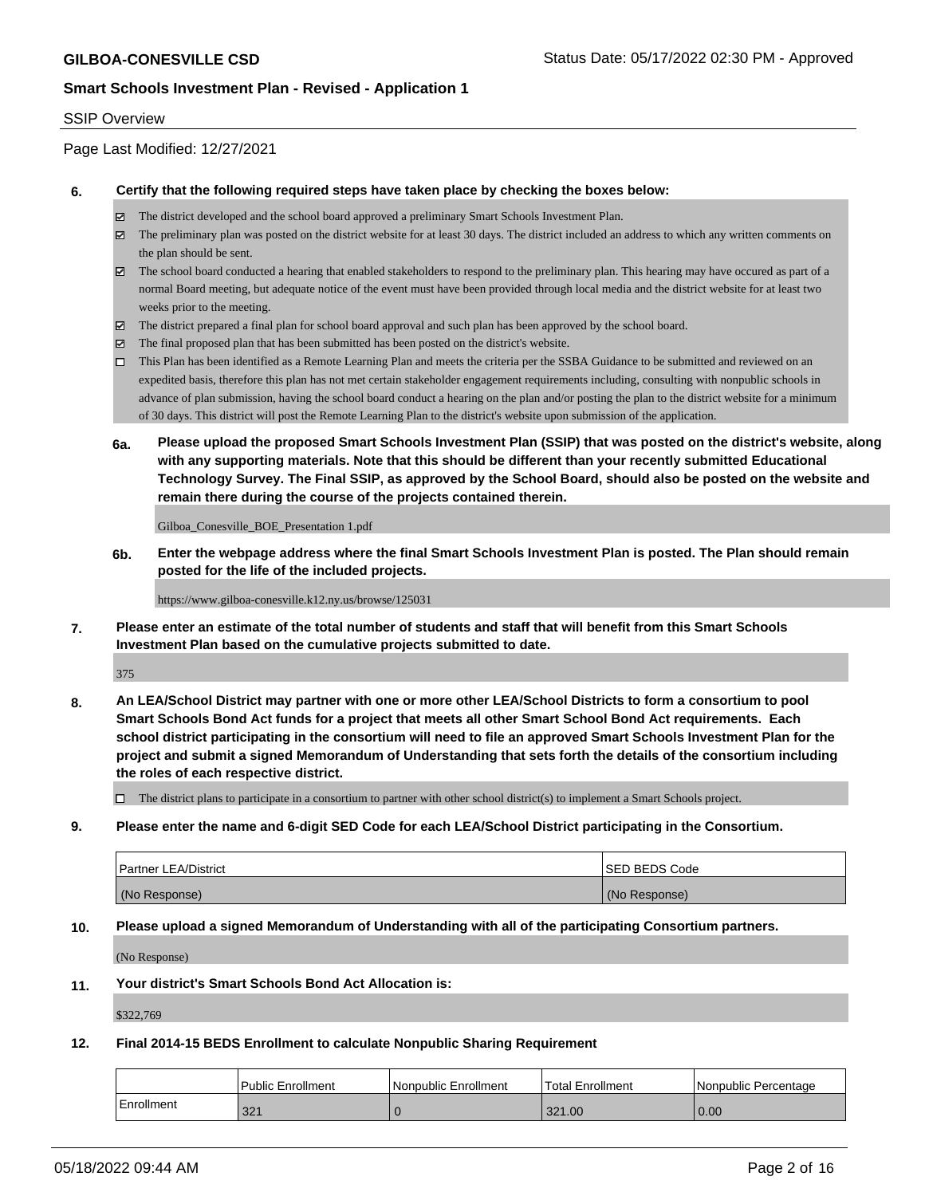#### SSIP Overview

Page Last Modified: 12/27/2021

#### **6. Certify that the following required steps have taken place by checking the boxes below:**

- The district developed and the school board approved a preliminary Smart Schools Investment Plan.
- $\boxtimes$  The preliminary plan was posted on the district website for at least 30 days. The district included an address to which any written comments on the plan should be sent.
- $\boxtimes$  The school board conducted a hearing that enabled stakeholders to respond to the preliminary plan. This hearing may have occured as part of a normal Board meeting, but adequate notice of the event must have been provided through local media and the district website for at least two weeks prior to the meeting.
- The district prepared a final plan for school board approval and such plan has been approved by the school board.
- $\boxtimes$  The final proposed plan that has been submitted has been posted on the district's website.
- This Plan has been identified as a Remote Learning Plan and meets the criteria per the SSBA Guidance to be submitted and reviewed on an expedited basis, therefore this plan has not met certain stakeholder engagement requirements including, consulting with nonpublic schools in advance of plan submission, having the school board conduct a hearing on the plan and/or posting the plan to the district website for a minimum of 30 days. This district will post the Remote Learning Plan to the district's website upon submission of the application.
- **6a. Please upload the proposed Smart Schools Investment Plan (SSIP) that was posted on the district's website, along with any supporting materials. Note that this should be different than your recently submitted Educational Technology Survey. The Final SSIP, as approved by the School Board, should also be posted on the website and remain there during the course of the projects contained therein.**

Gilboa\_Conesville\_BOE\_Presentation 1.pdf

**6b. Enter the webpage address where the final Smart Schools Investment Plan is posted. The Plan should remain posted for the life of the included projects.**

https://www.gilboa-conesville.k12.ny.us/browse/125031

**7. Please enter an estimate of the total number of students and staff that will benefit from this Smart Schools Investment Plan based on the cumulative projects submitted to date.**

375

**8. An LEA/School District may partner with one or more other LEA/School Districts to form a consortium to pool Smart Schools Bond Act funds for a project that meets all other Smart School Bond Act requirements. Each school district participating in the consortium will need to file an approved Smart Schools Investment Plan for the project and submit a signed Memorandum of Understanding that sets forth the details of the consortium including the roles of each respective district.**

 $\Box$  The district plans to participate in a consortium to partner with other school district(s) to implement a Smart Schools project.

**9. Please enter the name and 6-digit SED Code for each LEA/School District participating in the Consortium.**

| <b>Partner LEA/District</b> | <b>ISED BEDS Code</b> |
|-----------------------------|-----------------------|
| (No Response)               | (No Response)         |

#### **10. Please upload a signed Memorandum of Understanding with all of the participating Consortium partners.**

(No Response)

#### **11. Your district's Smart Schools Bond Act Allocation is:**

\$322,769

#### **12. Final 2014-15 BEDS Enrollment to calculate Nonpublic Sharing Requirement**

|            | Public Enrollment | l Nonpublic Enrollment | 'Total Enrollment | l Nonpublic Percentage |
|------------|-------------------|------------------------|-------------------|------------------------|
| Enrollment | 321               |                        | 321.00            | 0.00                   |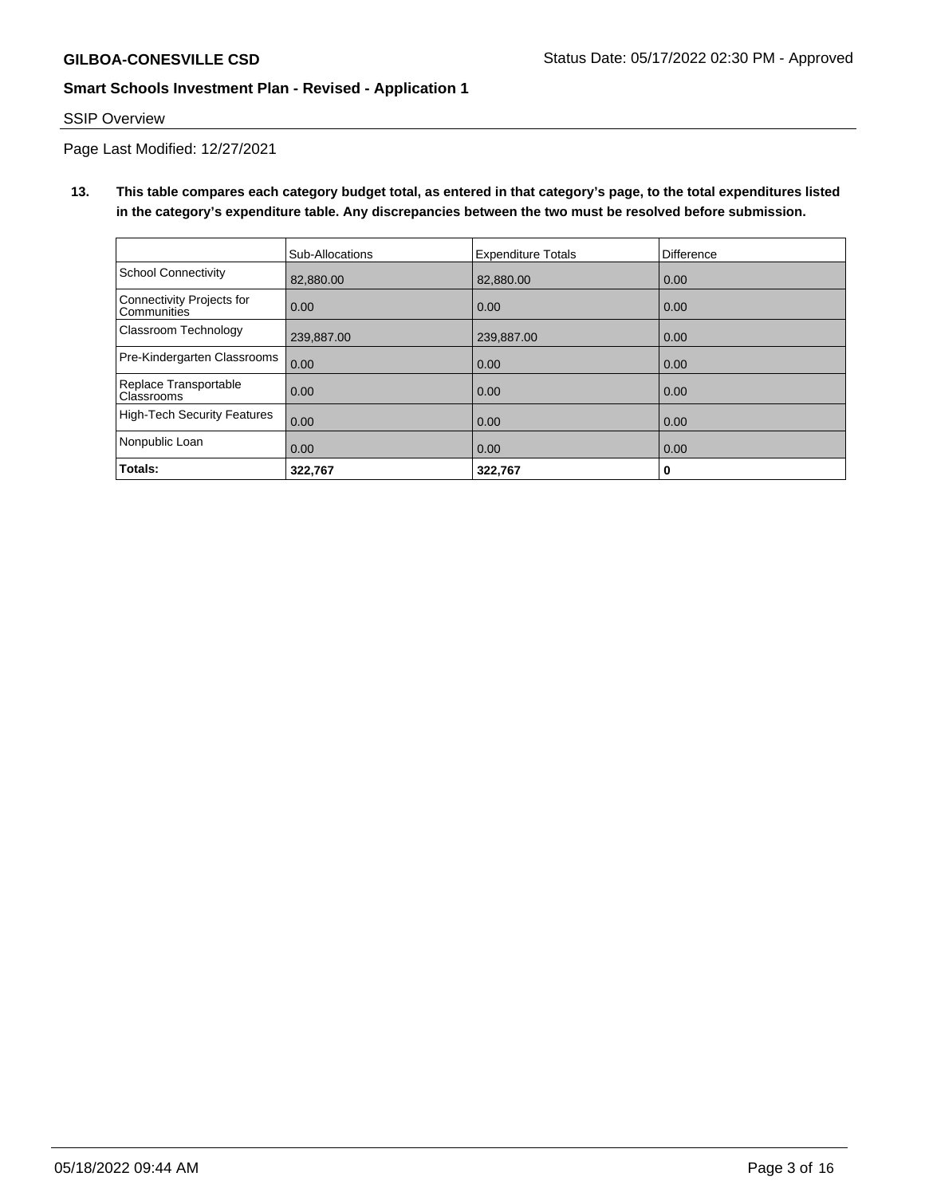## SSIP Overview

Page Last Modified: 12/27/2021

**13. This table compares each category budget total, as entered in that category's page, to the total expenditures listed in the category's expenditure table. Any discrepancies between the two must be resolved before submission.**

|                                                 | Sub-Allocations | <b>Expenditure Totals</b> | <b>Difference</b> |
|-------------------------------------------------|-----------------|---------------------------|-------------------|
| School Connectivity                             | 82,880,00       | 82.880.00                 | 0.00              |
| Connectivity Projects for<br><b>Communities</b> | 0.00            | 0.00                      | 0.00              |
| Classroom Technology                            | 239,887.00      | 239,887.00                | 0.00              |
| Pre-Kindergarten Classrooms                     | 0.00            | 0.00                      | 0.00              |
| Replace Transportable<br>Classrooms             | 0.00            | 0.00                      | 0.00              |
| High-Tech Security Features                     | 0.00            | 0.00                      | 0.00              |
| Nonpublic Loan                                  | 0.00            | 0.00                      | 0.00              |
| Totals:                                         | 322,767         | 322,767                   | 0                 |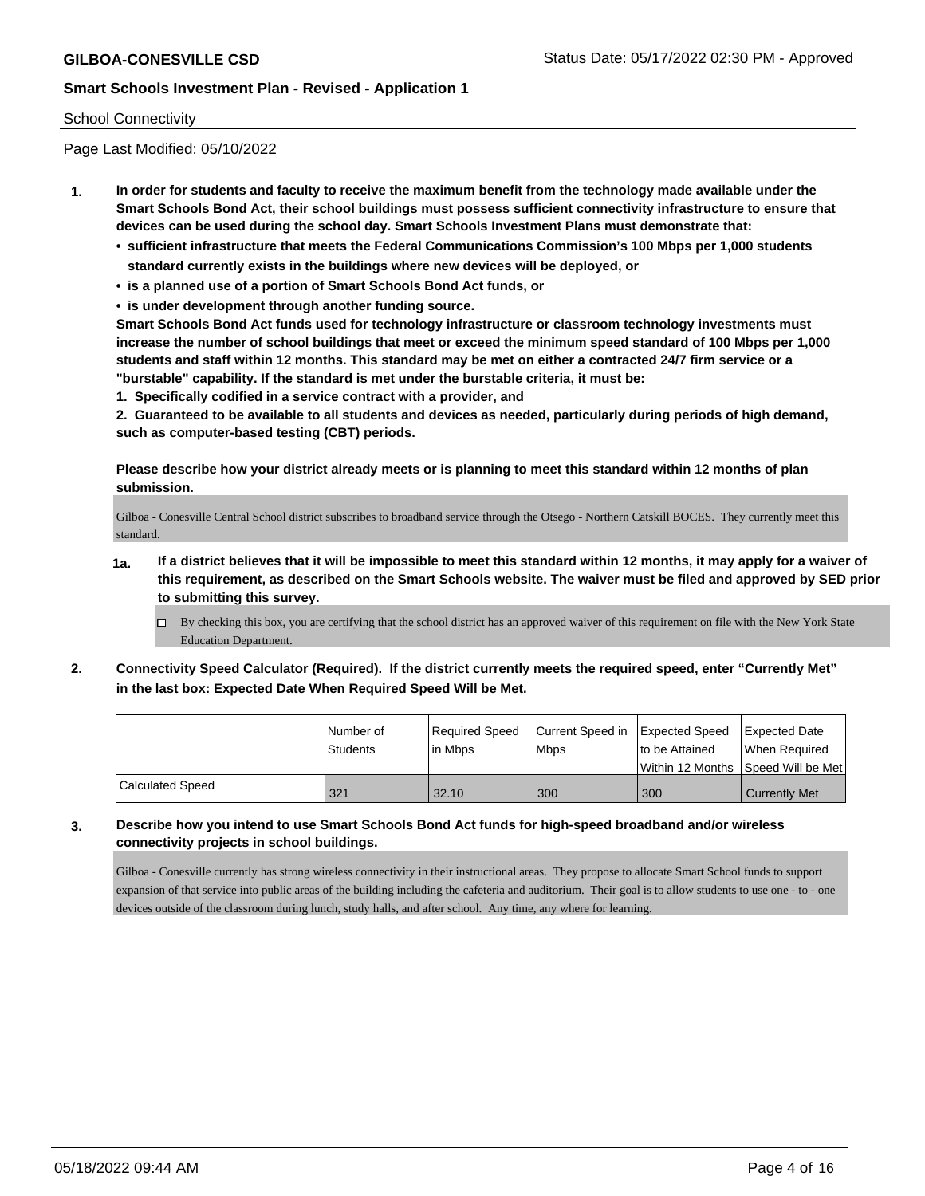#### School Connectivity

Page Last Modified: 05/10/2022

- **1. In order for students and faculty to receive the maximum benefit from the technology made available under the Smart Schools Bond Act, their school buildings must possess sufficient connectivity infrastructure to ensure that devices can be used during the school day. Smart Schools Investment Plans must demonstrate that:**
	- **• sufficient infrastructure that meets the Federal Communications Commission's 100 Mbps per 1,000 students standard currently exists in the buildings where new devices will be deployed, or**
	- **• is a planned use of a portion of Smart Schools Bond Act funds, or**
	- **• is under development through another funding source.**

**Smart Schools Bond Act funds used for technology infrastructure or classroom technology investments must increase the number of school buildings that meet or exceed the minimum speed standard of 100 Mbps per 1,000 students and staff within 12 months. This standard may be met on either a contracted 24/7 firm service or a "burstable" capability. If the standard is met under the burstable criteria, it must be:**

**1. Specifically codified in a service contract with a provider, and**

**2. Guaranteed to be available to all students and devices as needed, particularly during periods of high demand, such as computer-based testing (CBT) periods.**

**Please describe how your district already meets or is planning to meet this standard within 12 months of plan submission.**

Gilboa - Conesville Central School district subscribes to broadband service through the Otsego - Northern Catskill BOCES. They currently meet this standard.

- **1a. If a district believes that it will be impossible to meet this standard within 12 months, it may apply for a waiver of this requirement, as described on the Smart Schools website. The waiver must be filed and approved by SED prior to submitting this survey.**
	- By checking this box, you are certifying that the school district has an approved waiver of this requirement on file with the New York State Education Department.
- **2. Connectivity Speed Calculator (Required). If the district currently meets the required speed, enter "Currently Met" in the last box: Expected Date When Required Speed Will be Met.**

|                  | l Number of     | Required Speed | Current Speed in Expected Speed | to be Attained                      | Expected Date        |
|------------------|-----------------|----------------|---------------------------------|-------------------------------------|----------------------|
|                  | <b>Students</b> | lin Mbps       | <b>Mbps</b>                     | Within 12 Months ISpeed Will be Met | When Required        |
| Calculated Speed | 321             | 32.10          | 300                             | 300                                 | <b>Currently Met</b> |

**3. Describe how you intend to use Smart Schools Bond Act funds for high-speed broadband and/or wireless connectivity projects in school buildings.**

Gilboa - Conesville currently has strong wireless connectivity in their instructional areas. They propose to allocate Smart School funds to support expansion of that service into public areas of the building including the cafeteria and auditorium. Their goal is to allow students to use one - to - one devices outside of the classroom during lunch, study halls, and after school. Any time, any where for learning.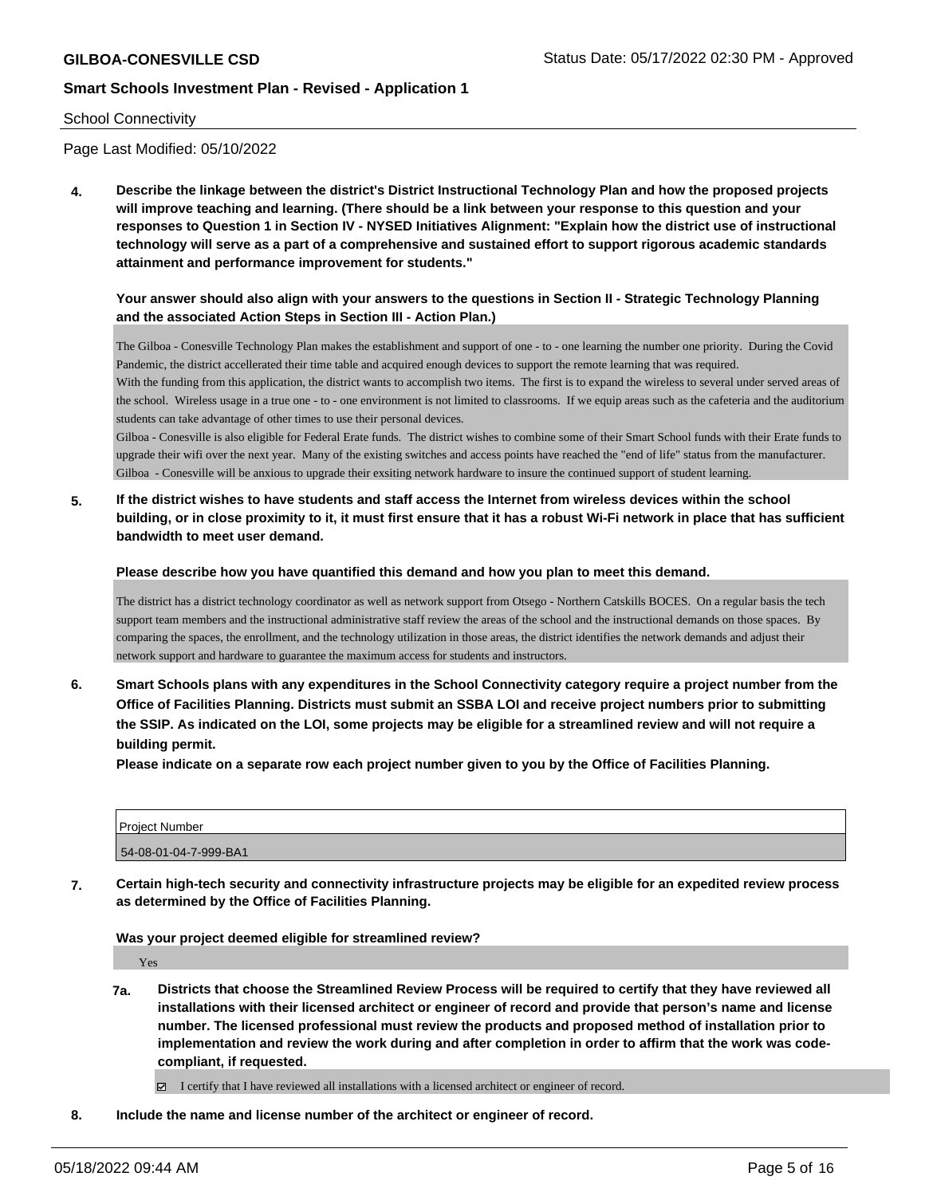#### School Connectivity

Page Last Modified: 05/10/2022

**4. Describe the linkage between the district's District Instructional Technology Plan and how the proposed projects will improve teaching and learning. (There should be a link between your response to this question and your responses to Question 1 in Section IV - NYSED Initiatives Alignment: "Explain how the district use of instructional technology will serve as a part of a comprehensive and sustained effort to support rigorous academic standards attainment and performance improvement for students."** 

#### **Your answer should also align with your answers to the questions in Section II - Strategic Technology Planning and the associated Action Steps in Section III - Action Plan.)**

The Gilboa - Conesville Technology Plan makes the establishment and support of one - to - one learning the number one priority. During the Covid Pandemic, the district accellerated their time table and acquired enough devices to support the remote learning that was required. With the funding from this application, the district wants to accomplish two items. The first is to expand the wireless to several under served areas of the school. Wireless usage in a true one - to - one environment is not limited to classrooms. If we equip areas such as the cafeteria and the auditorium students can take advantage of other times to use their personal devices.

Gilboa - Conesville is also eligible for Federal Erate funds. The district wishes to combine some of their Smart School funds with their Erate funds to upgrade their wifi over the next year. Many of the existing switches and access points have reached the "end of life" status from the manufacturer. Gilboa - Conesville will be anxious to upgrade their exsiting network hardware to insure the continued support of student learning.

**5. If the district wishes to have students and staff access the Internet from wireless devices within the school building, or in close proximity to it, it must first ensure that it has a robust Wi-Fi network in place that has sufficient bandwidth to meet user demand.**

**Please describe how you have quantified this demand and how you plan to meet this demand.**

The district has a district technology coordinator as well as network support from Otsego - Northern Catskills BOCES. On a regular basis the tech support team members and the instructional administrative staff review the areas of the school and the instructional demands on those spaces. By comparing the spaces, the enrollment, and the technology utilization in those areas, the district identifies the network demands and adjust their network support and hardware to guarantee the maximum access for students and instructors.

**6. Smart Schools plans with any expenditures in the School Connectivity category require a project number from the Office of Facilities Planning. Districts must submit an SSBA LOI and receive project numbers prior to submitting the SSIP. As indicated on the LOI, some projects may be eligible for a streamlined review and will not require a building permit.**

**Please indicate on a separate row each project number given to you by the Office of Facilities Planning.**

| <b>Project Number</b> |  |
|-----------------------|--|
| 54-08-01-04-7-999-BA1 |  |

**7. Certain high-tech security and connectivity infrastructure projects may be eligible for an expedited review process as determined by the Office of Facilities Planning.**

**Was your project deemed eligible for streamlined review?**

Yes

**7a. Districts that choose the Streamlined Review Process will be required to certify that they have reviewed all installations with their licensed architect or engineer of record and provide that person's name and license number. The licensed professional must review the products and proposed method of installation prior to implementation and review the work during and after completion in order to affirm that the work was codecompliant, if requested.**

I certify that I have reviewed all installations with a licensed architect or engineer of record.

**8. Include the name and license number of the architect or engineer of record.**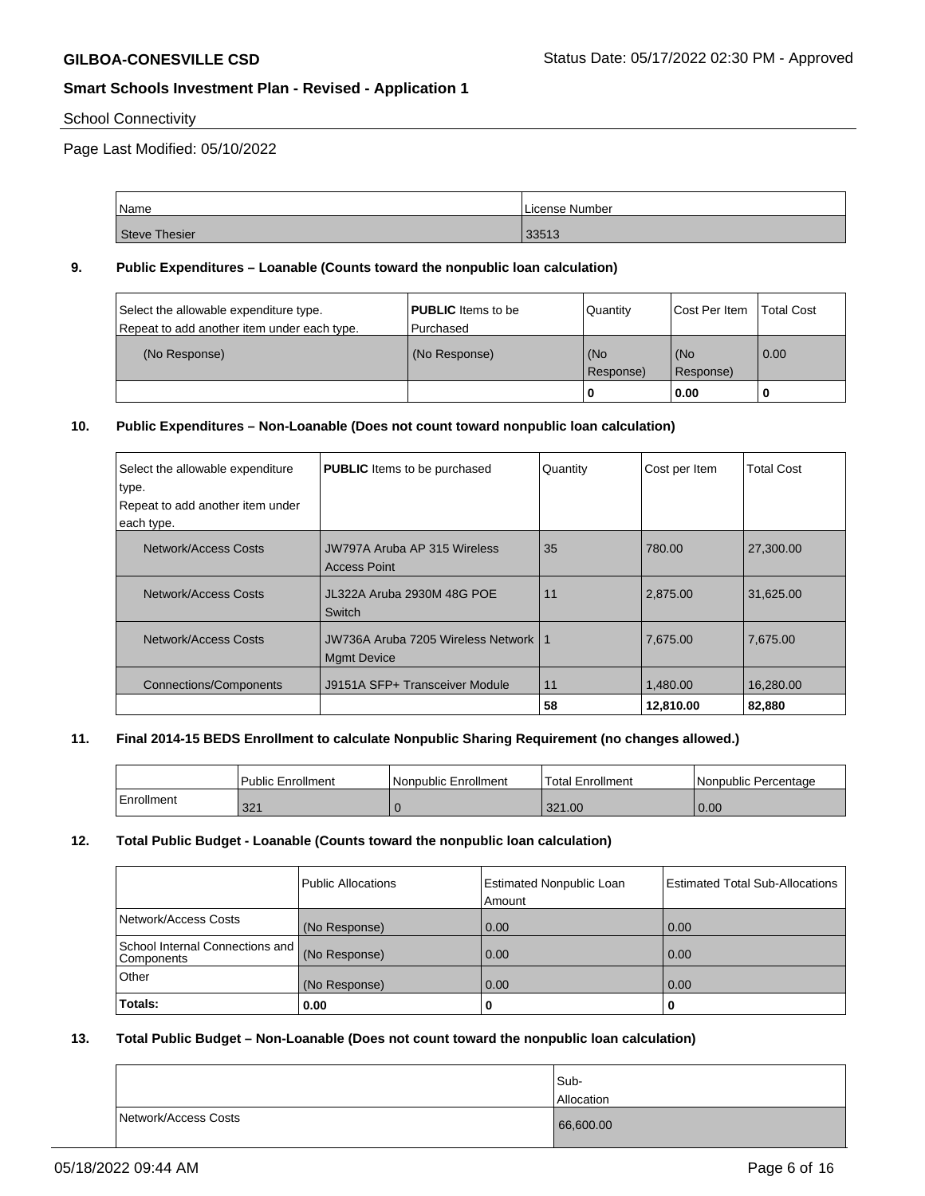## School Connectivity

Page Last Modified: 05/10/2022

| Name          | License Number |
|---------------|----------------|
| Steve Thesier | 33513          |

#### **9. Public Expenditures – Loanable (Counts toward the nonpublic loan calculation)**

|               |             |                       | Total Cost                 |
|---------------|-------------|-----------------------|----------------------------|
|               |             |                       |                            |
| (No Response) |             |                       | $\overline{0.00}$          |
|               |             |                       |                            |
|               | l Purchased | (No<br>Response)<br>0 | l (No<br>Response)<br>0.00 |

#### **10. Public Expenditures – Non-Loanable (Does not count toward nonpublic loan calculation)**

| Select the allowable expenditure<br>type. | <b>PUBLIC</b> Items to be purchased                               | Quantity | Cost per Item | <b>Total Cost</b> |
|-------------------------------------------|-------------------------------------------------------------------|----------|---------------|-------------------|
| Repeat to add another item under          |                                                                   |          |               |                   |
| each type.                                |                                                                   |          |               |                   |
| Network/Access Costs                      | JW797A Aruba AP 315 Wireless<br><b>Access Point</b>               | 35       | 780.00        | 27,300.00         |
| Network/Access Costs                      | JL322A Aruba 2930M 48G POE<br>Switch                              | 11       | 2.875.00      | 31.625.00         |
| Network/Access Costs                      | <b>JW736A Aruba 7205 Wireless Network  </b><br><b>Mamt Device</b> | -1       | 7,675.00      | 7,675.00          |
| <b>Connections/Components</b>             | J9151A SFP+ Transceiver Module                                    | 11       | 1.480.00      | 16.280.00         |
|                                           |                                                                   | 58       | 12,810.00     | 82,880            |

## **11. Final 2014-15 BEDS Enrollment to calculate Nonpublic Sharing Requirement (no changes allowed.)**

|            | <b>Public Enrollment</b> | Nonpublic Enrollment | Total Enrollment | l Nonpublic Percentage |
|------------|--------------------------|----------------------|------------------|------------------------|
| Enrollment | 321                      |                      | 321.00           | 0.00                   |

#### **12. Total Public Budget - Loanable (Counts toward the nonpublic loan calculation)**

|                                                 | Public Allocations | <b>Estimated Nonpublic Loan</b> | <b>Estimated Total Sub-Allocations</b> |
|-------------------------------------------------|--------------------|---------------------------------|----------------------------------------|
|                                                 |                    | Amount                          |                                        |
| Network/Access Costs                            | (No Response)      | 0.00                            | 0.00                                   |
| School Internal Connections and I<br>Components | (No Response)      | 0.00                            | 0.00                                   |
| Other                                           | (No Response)      | 0.00                            | 0.00                                   |
| Totals:                                         | 0.00               | U                               | 0                                      |

## **13. Total Public Budget – Non-Loanable (Does not count toward the nonpublic loan calculation)**

|                      | Sub-<br>Allocation |
|----------------------|--------------------|
| Network/Access Costs | 66,600.00          |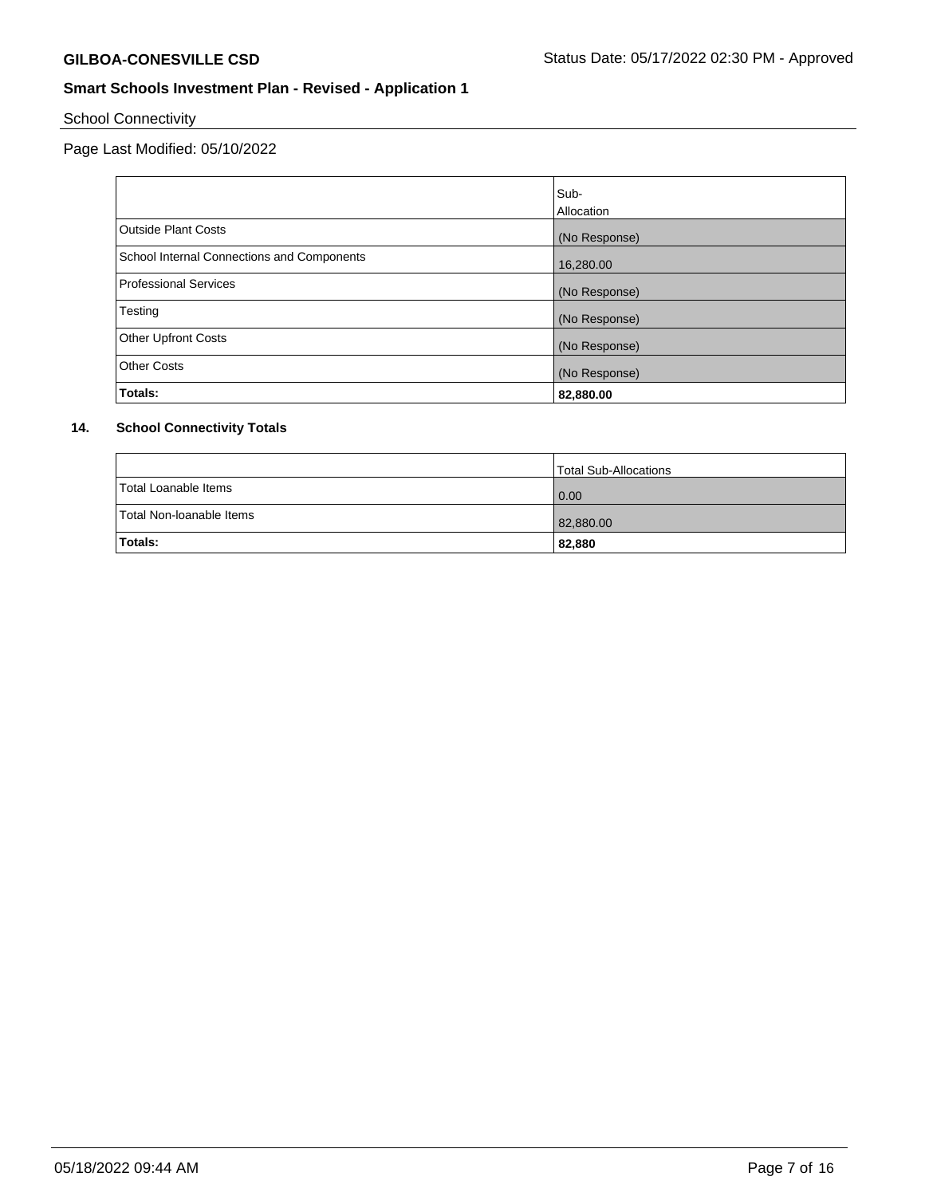School Connectivity

Page Last Modified: 05/10/2022

|                                            | Sub-              |
|--------------------------------------------|-------------------|
|                                            | <b>Allocation</b> |
| Outside Plant Costs                        | (No Response)     |
| School Internal Connections and Components | 16,280.00         |
| Professional Services                      | (No Response)     |
| Testing                                    | (No Response)     |
| <b>Other Upfront Costs</b>                 | (No Response)     |
| <b>Other Costs</b>                         | (No Response)     |
| Totals:                                    | 82,880.00         |

## **14. School Connectivity Totals**

|                          | <b>Total Sub-Allocations</b> |
|--------------------------|------------------------------|
| Total Loanable Items     | 0.00                         |
| Total Non-Ioanable Items | 82,880.00                    |
| Totals:                  | 82,880                       |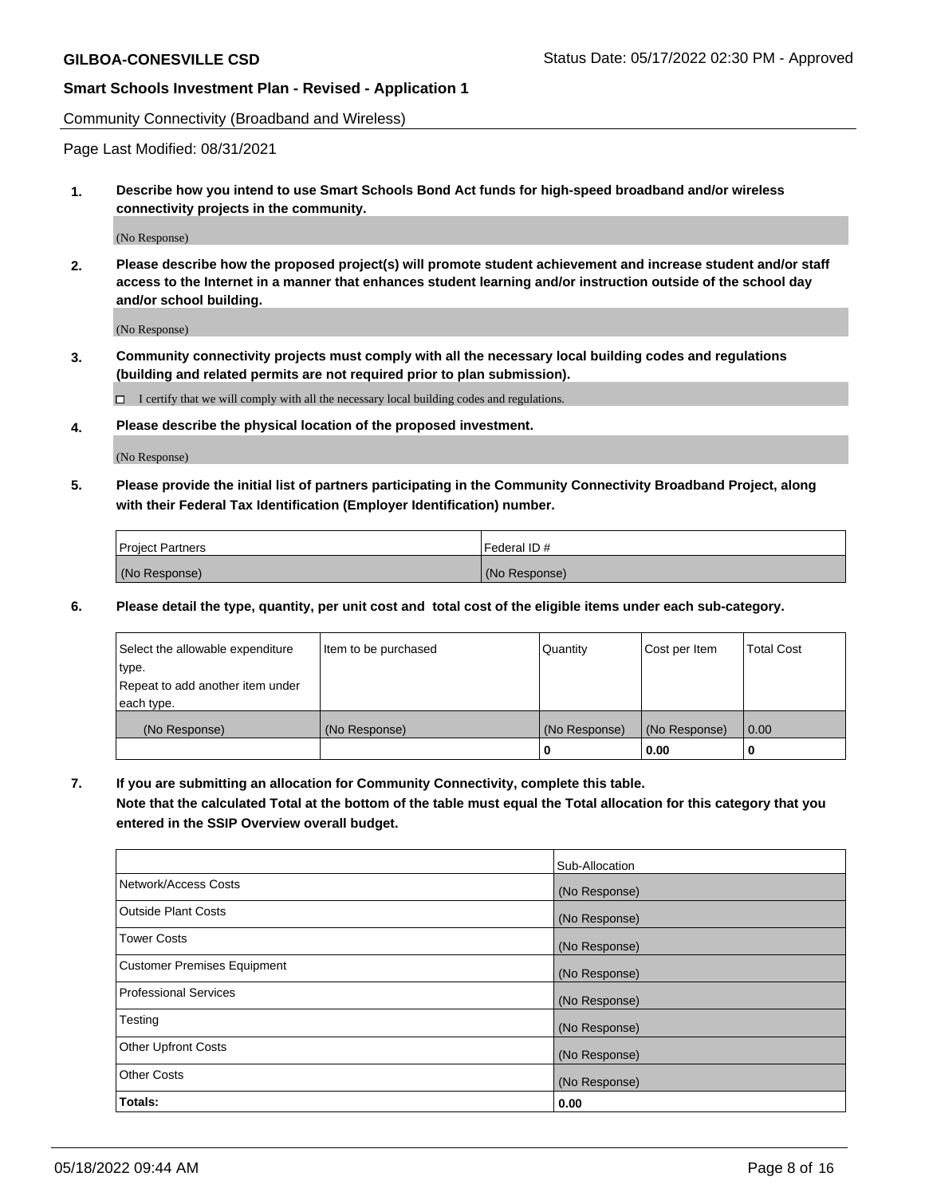Community Connectivity (Broadband and Wireless)

Page Last Modified: 08/31/2021

**1. Describe how you intend to use Smart Schools Bond Act funds for high-speed broadband and/or wireless connectivity projects in the community.**

(No Response)

**2. Please describe how the proposed project(s) will promote student achievement and increase student and/or staff access to the Internet in a manner that enhances student learning and/or instruction outside of the school day and/or school building.**

(No Response)

**3. Community connectivity projects must comply with all the necessary local building codes and regulations (building and related permits are not required prior to plan submission).**

 $\Box$  I certify that we will comply with all the necessary local building codes and regulations.

**4. Please describe the physical location of the proposed investment.**

(No Response)

**5. Please provide the initial list of partners participating in the Community Connectivity Broadband Project, along with their Federal Tax Identification (Employer Identification) number.**

| <b>Project Partners</b> | l Federal ID # |
|-------------------------|----------------|
| (No Response)           | (No Response)  |

**6. Please detail the type, quantity, per unit cost and total cost of the eligible items under each sub-category.**

| Select the allowable expenditure | Item to be purchased | Quantity      | Cost per Item | <b>Total Cost</b> |
|----------------------------------|----------------------|---------------|---------------|-------------------|
| type.                            |                      |               |               |                   |
| Repeat to add another item under |                      |               |               |                   |
| each type.                       |                      |               |               |                   |
| (No Response)                    | (No Response)        | (No Response) | (No Response) | 0.00              |
|                                  |                      | 0             | 0.00          |                   |

**7. If you are submitting an allocation for Community Connectivity, complete this table.**

**Note that the calculated Total at the bottom of the table must equal the Total allocation for this category that you entered in the SSIP Overview overall budget.**

|                                    | Sub-Allocation |
|------------------------------------|----------------|
| Network/Access Costs               | (No Response)  |
| Outside Plant Costs                | (No Response)  |
| <b>Tower Costs</b>                 | (No Response)  |
| <b>Customer Premises Equipment</b> | (No Response)  |
| Professional Services              | (No Response)  |
| Testing                            | (No Response)  |
| <b>Other Upfront Costs</b>         | (No Response)  |
| <b>Other Costs</b>                 | (No Response)  |
| Totals:                            | 0.00           |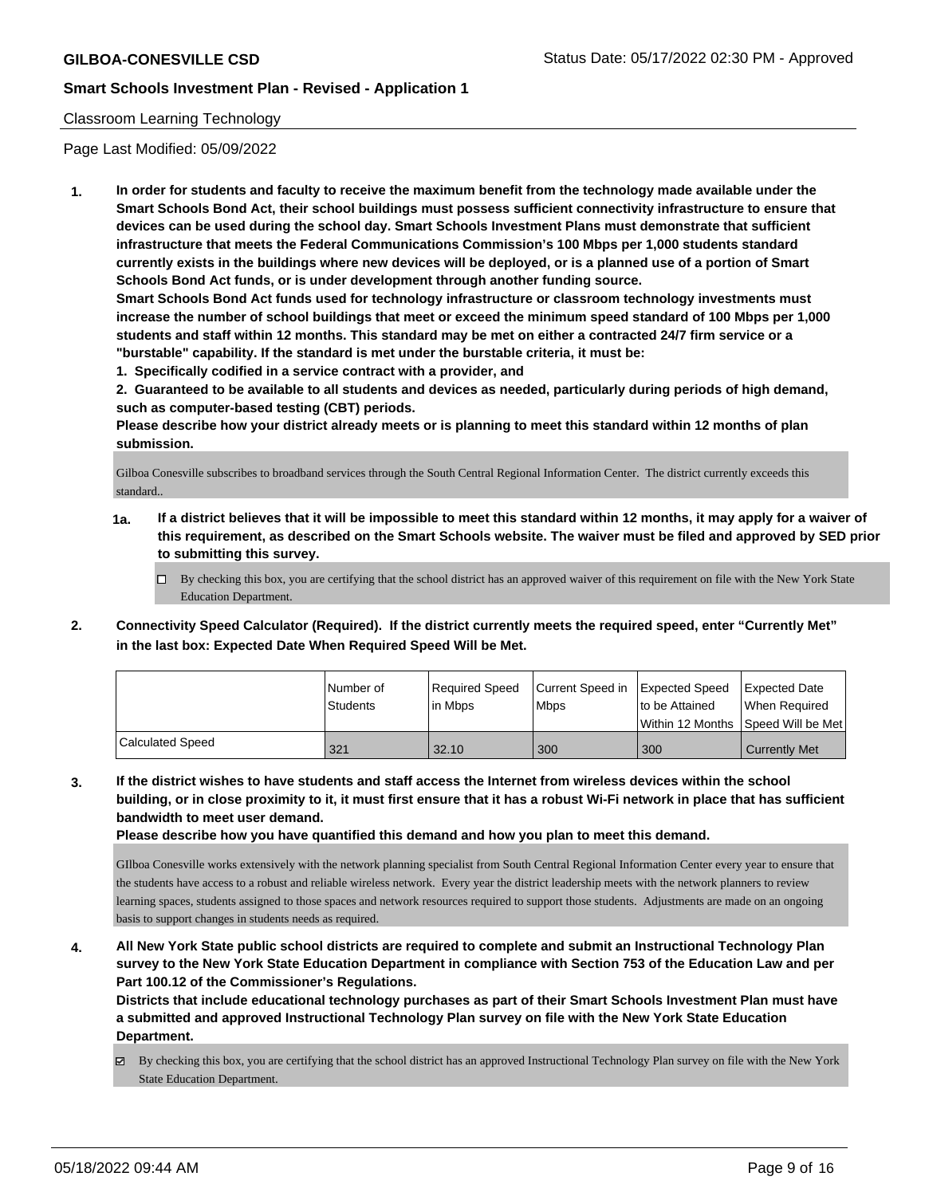## Classroom Learning Technology

Page Last Modified: 05/09/2022

**1. In order for students and faculty to receive the maximum benefit from the technology made available under the Smart Schools Bond Act, their school buildings must possess sufficient connectivity infrastructure to ensure that devices can be used during the school day. Smart Schools Investment Plans must demonstrate that sufficient infrastructure that meets the Federal Communications Commission's 100 Mbps per 1,000 students standard currently exists in the buildings where new devices will be deployed, or is a planned use of a portion of Smart Schools Bond Act funds, or is under development through another funding source.**

**Smart Schools Bond Act funds used for technology infrastructure or classroom technology investments must increase the number of school buildings that meet or exceed the minimum speed standard of 100 Mbps per 1,000 students and staff within 12 months. This standard may be met on either a contracted 24/7 firm service or a "burstable" capability. If the standard is met under the burstable criteria, it must be:**

**1. Specifically codified in a service contract with a provider, and**

**2. Guaranteed to be available to all students and devices as needed, particularly during periods of high demand, such as computer-based testing (CBT) periods.**

**Please describe how your district already meets or is planning to meet this standard within 12 months of plan submission.**

Gilboa Conesville subscribes to broadband services through the South Central Regional Information Center. The district currently exceeds this standard..

- **1a. If a district believes that it will be impossible to meet this standard within 12 months, it may apply for a waiver of this requirement, as described on the Smart Schools website. The waiver must be filed and approved by SED prior to submitting this survey.**
	- By checking this box, you are certifying that the school district has an approved waiver of this requirement on file with the New York State Education Department.
- **2. Connectivity Speed Calculator (Required). If the district currently meets the required speed, enter "Currently Met" in the last box: Expected Date When Required Speed Will be Met.**

|                  | l Number of     | Reauired Speed | Current Speed in Expected Speed |                | Expected Date                        |
|------------------|-----------------|----------------|---------------------------------|----------------|--------------------------------------|
|                  | <b>Students</b> | l in Mbps      | <b>Mbps</b>                     | to be Attained | When Required                        |
|                  |                 |                |                                 |                | Within 12 Months   Speed Will be Met |
| Calculated Speed | 321             | 32.10          | 300                             | 300            | <b>Currently Met</b>                 |

**3. If the district wishes to have students and staff access the Internet from wireless devices within the school building, or in close proximity to it, it must first ensure that it has a robust Wi-Fi network in place that has sufficient bandwidth to meet user demand.**

**Please describe how you have quantified this demand and how you plan to meet this demand.**

GIlboa Conesville works extensively with the network planning specialist from South Central Regional Information Center every year to ensure that the students have access to a robust and reliable wireless network. Every year the district leadership meets with the network planners to review learning spaces, students assigned to those spaces and network resources required to support those students. Adjustments are made on an ongoing basis to support changes in students needs as required.

**4. All New York State public school districts are required to complete and submit an Instructional Technology Plan survey to the New York State Education Department in compliance with Section 753 of the Education Law and per Part 100.12 of the Commissioner's Regulations.**

**Districts that include educational technology purchases as part of their Smart Schools Investment Plan must have a submitted and approved Instructional Technology Plan survey on file with the New York State Education Department.**

By checking this box, you are certifying that the school district has an approved Instructional Technology Plan survey on file with the New York State Education Department.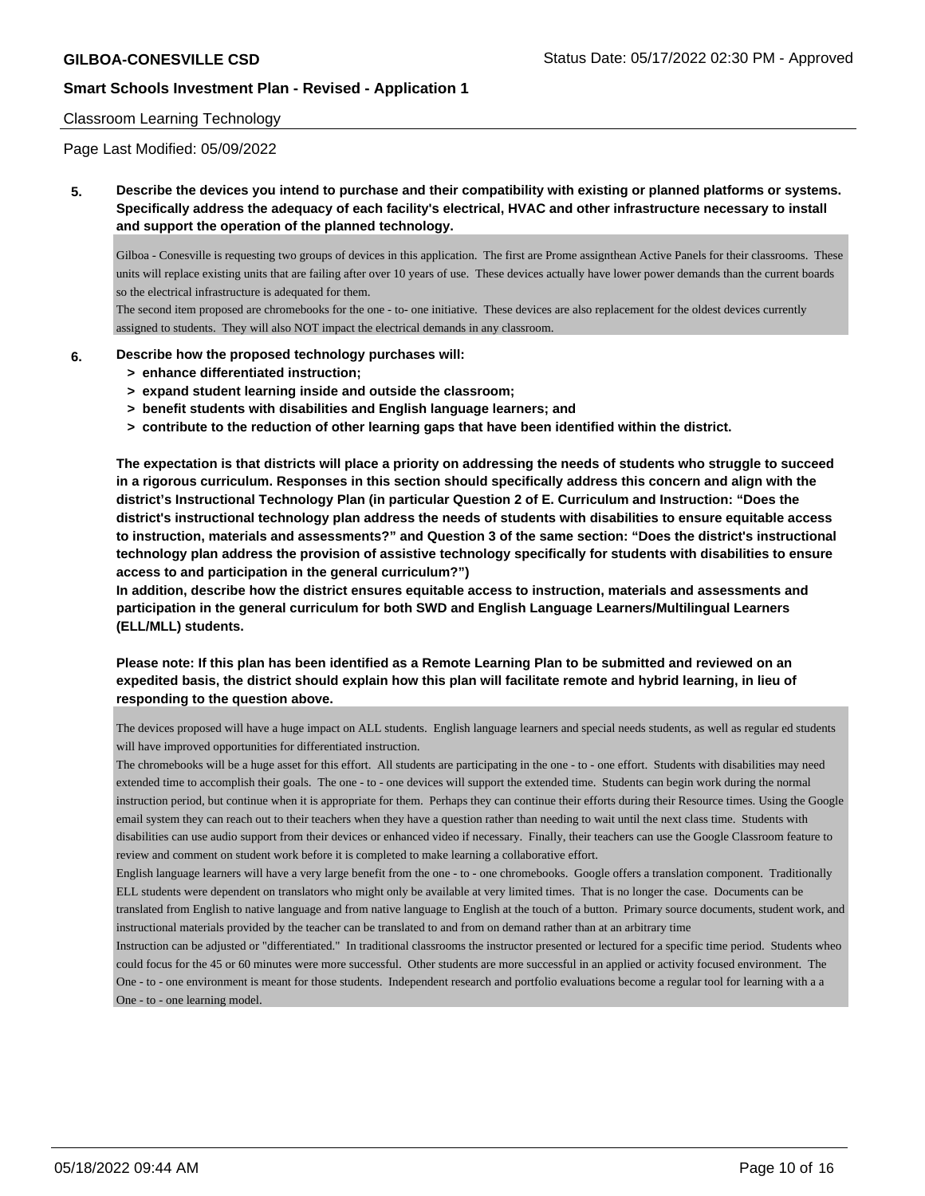#### Classroom Learning Technology

Page Last Modified: 05/09/2022

**5. Describe the devices you intend to purchase and their compatibility with existing or planned platforms or systems. Specifically address the adequacy of each facility's electrical, HVAC and other infrastructure necessary to install and support the operation of the planned technology.**

Gilboa - Conesville is requesting two groups of devices in this application. The first are Prome assignthean Active Panels for their classrooms. These units will replace existing units that are failing after over 10 years of use. These devices actually have lower power demands than the current boards so the electrical infrastructure is adequated for them.

The second item proposed are chromebooks for the one - to- one initiative. These devices are also replacement for the oldest devices currently assigned to students. They will also NOT impact the electrical demands in any classroom.

- **6. Describe how the proposed technology purchases will:**
	- **> enhance differentiated instruction;**
	- **> expand student learning inside and outside the classroom;**
	- **> benefit students with disabilities and English language learners; and**
	- **> contribute to the reduction of other learning gaps that have been identified within the district.**

**The expectation is that districts will place a priority on addressing the needs of students who struggle to succeed in a rigorous curriculum. Responses in this section should specifically address this concern and align with the district's Instructional Technology Plan (in particular Question 2 of E. Curriculum and Instruction: "Does the district's instructional technology plan address the needs of students with disabilities to ensure equitable access to instruction, materials and assessments?" and Question 3 of the same section: "Does the district's instructional technology plan address the provision of assistive technology specifically for students with disabilities to ensure access to and participation in the general curriculum?")**

**In addition, describe how the district ensures equitable access to instruction, materials and assessments and participation in the general curriculum for both SWD and English Language Learners/Multilingual Learners (ELL/MLL) students.**

**Please note: If this plan has been identified as a Remote Learning Plan to be submitted and reviewed on an expedited basis, the district should explain how this plan will facilitate remote and hybrid learning, in lieu of responding to the question above.**

The devices proposed will have a huge impact on ALL students. English language learners and special needs students, as well as regular ed students will have improved opportunities for differentiated instruction.

The chromebooks will be a huge asset for this effort. All students are participating in the one - to - one effort. Students with disabilities may need extended time to accomplish their goals. The one - to - one devices will support the extended time. Students can begin work during the normal instruction period, but continue when it is appropriate for them. Perhaps they can continue their efforts during their Resource times. Using the Google email system they can reach out to their teachers when they have a question rather than needing to wait until the next class time. Students with disabilities can use audio support from their devices or enhanced video if necessary. Finally, their teachers can use the Google Classroom feature to review and comment on student work before it is completed to make learning a collaborative effort.

English language learners will have a very large benefit from the one - to - one chromebooks. Google offers a translation component. Traditionally ELL students were dependent on translators who might only be available at very limited times. That is no longer the case. Documents can be translated from English to native language and from native language to English at the touch of a button. Primary source documents, student work, and instructional materials provided by the teacher can be translated to and from on demand rather than at an arbitrary time

Instruction can be adjusted or "differentiated." In traditional classrooms the instructor presented or lectured for a specific time period. Students wheo could focus for the 45 or 60 minutes were more successful. Other students are more successful in an applied or activity focused environment. The One - to - one environment is meant for those students. Independent research and portfolio evaluations become a regular tool for learning with a a One - to - one learning model.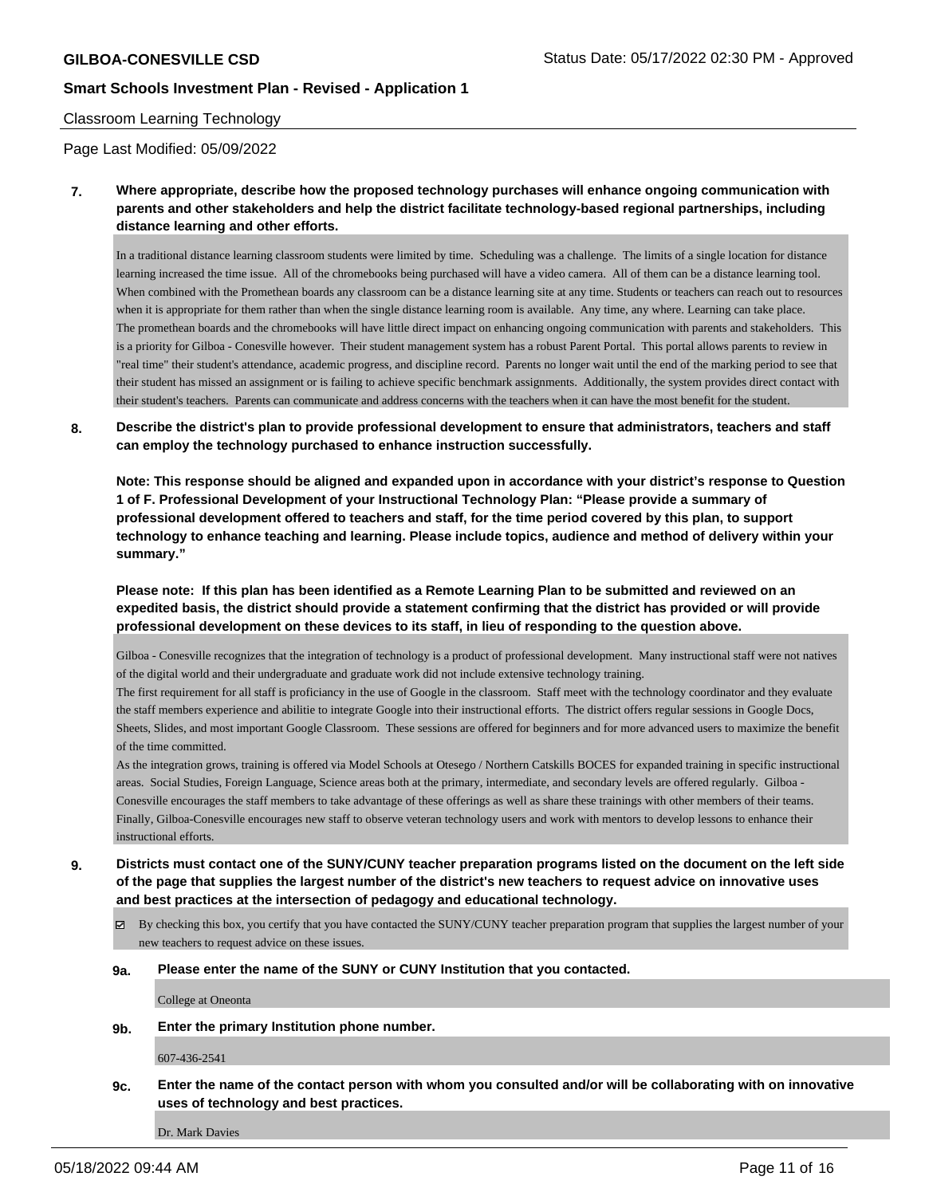#### Classroom Learning Technology

Page Last Modified: 05/09/2022

**7. Where appropriate, describe how the proposed technology purchases will enhance ongoing communication with parents and other stakeholders and help the district facilitate technology-based regional partnerships, including distance learning and other efforts.**

In a traditional distance learning classroom students were limited by time. Scheduling was a challenge. The limits of a single location for distance learning increased the time issue. All of the chromebooks being purchased will have a video camera. All of them can be a distance learning tool. When combined with the Promethean boards any classroom can be a distance learning site at any time. Students or teachers can reach out to resources when it is appropriate for them rather than when the single distance learning room is available. Any time, any where. Learning can take place. The promethean boards and the chromebooks will have little direct impact on enhancing ongoing communication with parents and stakeholders. This is a priority for Gilboa - Conesville however. Their student management system has a robust Parent Portal. This portal allows parents to review in "real time" their student's attendance, academic progress, and discipline record. Parents no longer wait until the end of the marking period to see that their student has missed an assignment or is failing to achieve specific benchmark assignments. Additionally, the system provides direct contact with their student's teachers. Parents can communicate and address concerns with the teachers when it can have the most benefit for the student.

**8. Describe the district's plan to provide professional development to ensure that administrators, teachers and staff can employ the technology purchased to enhance instruction successfully.**

**Note: This response should be aligned and expanded upon in accordance with your district's response to Question 1 of F. Professional Development of your Instructional Technology Plan: "Please provide a summary of professional development offered to teachers and staff, for the time period covered by this plan, to support technology to enhance teaching and learning. Please include topics, audience and method of delivery within your summary."**

**Please note: If this plan has been identified as a Remote Learning Plan to be submitted and reviewed on an expedited basis, the district should provide a statement confirming that the district has provided or will provide professional development on these devices to its staff, in lieu of responding to the question above.**

Gilboa - Conesville recognizes that the integration of technology is a product of professional development. Many instructional staff were not natives of the digital world and their undergraduate and graduate work did not include extensive technology training.

The first requirement for all staff is proficiancy in the use of Google in the classroom. Staff meet with the technology coordinator and they evaluate the staff members experience and abilitie to integrate Google into their instructional efforts. The district offers regular sessions in Google Docs, Sheets, Slides, and most important Google Classroom. These sessions are offered for beginners and for more advanced users to maximize the benefit of the time committed.

As the integration grows, training is offered via Model Schools at Otesego / Northern Catskills BOCES for expanded training in specific instructional areas. Social Studies, Foreign Language, Science areas both at the primary, intermediate, and secondary levels are offered regularly. Gilboa - Conesville encourages the staff members to take advantage of these offerings as well as share these trainings with other members of their teams. Finally, Gilboa-Conesville encourages new staff to observe veteran technology users and work with mentors to develop lessons to enhance their instructional efforts.

- **9. Districts must contact one of the SUNY/CUNY teacher preparation programs listed on the document on the left side of the page that supplies the largest number of the district's new teachers to request advice on innovative uses and best practices at the intersection of pedagogy and educational technology.**
	- $\boxtimes$  By checking this box, you certify that you have contacted the SUNY/CUNY teacher preparation program that supplies the largest number of your new teachers to request advice on these issues.

#### **9a. Please enter the name of the SUNY or CUNY Institution that you contacted.**

College at Oneonta

**9b. Enter the primary Institution phone number.**

607-436-2541

**9c. Enter the name of the contact person with whom you consulted and/or will be collaborating with on innovative uses of technology and best practices.**

Dr. Mark Davies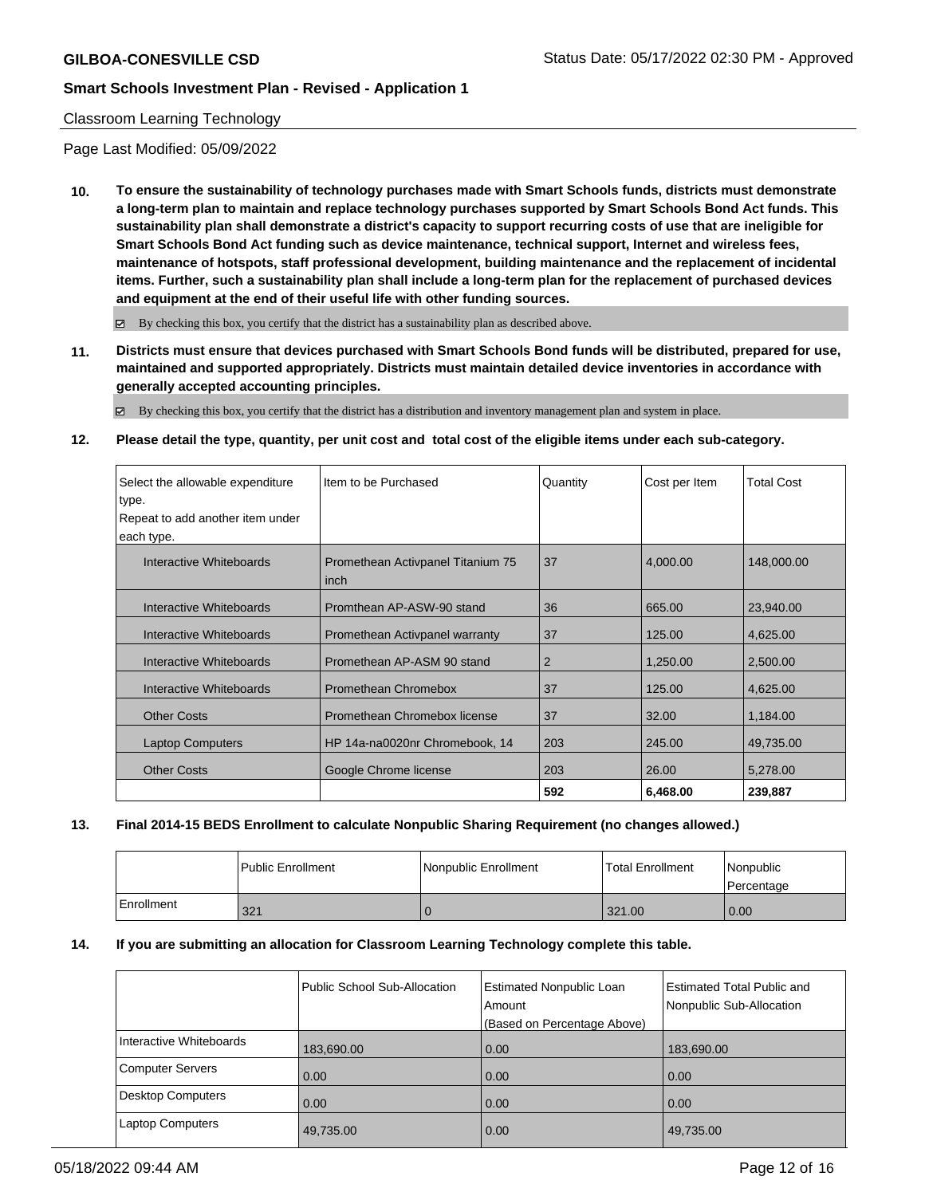#### Classroom Learning Technology

Page Last Modified: 05/09/2022

**10. To ensure the sustainability of technology purchases made with Smart Schools funds, districts must demonstrate a long-term plan to maintain and replace technology purchases supported by Smart Schools Bond Act funds. This sustainability plan shall demonstrate a district's capacity to support recurring costs of use that are ineligible for Smart Schools Bond Act funding such as device maintenance, technical support, Internet and wireless fees, maintenance of hotspots, staff professional development, building maintenance and the replacement of incidental items. Further, such a sustainability plan shall include a long-term plan for the replacement of purchased devices and equipment at the end of their useful life with other funding sources.**

 $\boxtimes$  By checking this box, you certify that the district has a sustainability plan as described above.

**11. Districts must ensure that devices purchased with Smart Schools Bond funds will be distributed, prepared for use, maintained and supported appropriately. Districts must maintain detailed device inventories in accordance with generally accepted accounting principles.**

By checking this box, you certify that the district has a distribution and inventory management plan and system in place.

#### **12. Please detail the type, quantity, per unit cost and total cost of the eligible items under each sub-category.**

| Select the allowable expenditure | Item to be Purchased                      | Quantity | Cost per Item | Total Cost |
|----------------------------------|-------------------------------------------|----------|---------------|------------|
| type.                            |                                           |          |               |            |
| Repeat to add another item under |                                           |          |               |            |
| each type.                       |                                           |          |               |            |
| Interactive Whiteboards          | Promethean Activpanel Titanium 75<br>inch | 37       | 4,000.00      | 148,000.00 |
| Interactive Whiteboards          | Promthean AP-ASW-90 stand                 | 36       | 665.00        | 23,940.00  |
| Interactive Whiteboards          | Promethean Activpanel warranty            | 37       | 125.00        | 4,625.00   |
| Interactive Whiteboards          | Promethean AP-ASM 90 stand                | 2        | 1,250.00      | 2,500.00   |
| Interactive Whiteboards          | Promethean Chromebox                      | 37       | 125.00        | 4,625.00   |
| <b>Other Costs</b>               | Promethean Chromebox license              | 37       | 32.00         | 1,184.00   |
| <b>Laptop Computers</b>          | HP 14a-na0020nr Chromebook, 14            | 203      | 245.00        | 49,735.00  |
| <b>Other Costs</b>               | Google Chrome license                     | 203      | 26.00         | 5,278.00   |
|                                  |                                           | 592      | 6,468.00      | 239,887    |

#### **13. Final 2014-15 BEDS Enrollment to calculate Nonpublic Sharing Requirement (no changes allowed.)**

|            | Public Enrollment | Nonpublic Enrollment | <b>Total Enrollment</b> | <i>Nonpublic</i><br>l Percentage |
|------------|-------------------|----------------------|-------------------------|----------------------------------|
| Enrollment | 321               |                      | 321.00                  | 0.00                             |

#### **14. If you are submitting an allocation for Classroom Learning Technology complete this table.**

|                          | Public School Sub-Allocation | <b>Estimated Nonpublic Loan</b><br>Amount | <b>Estimated Total Public and</b><br>Nonpublic Sub-Allocation |
|--------------------------|------------------------------|-------------------------------------------|---------------------------------------------------------------|
|                          |                              | (Based on Percentage Above)               |                                                               |
| Interactive Whiteboards  | 183,690.00                   | 0.00                                      | 183,690.00                                                    |
| <b>Computer Servers</b>  | 0.00                         | 0.00                                      | 0.00                                                          |
| <b>Desktop Computers</b> | 0.00                         | 0.00                                      | 0.00                                                          |
| <b>Laptop Computers</b>  | 49,735.00                    | 0.00                                      | 49,735.00                                                     |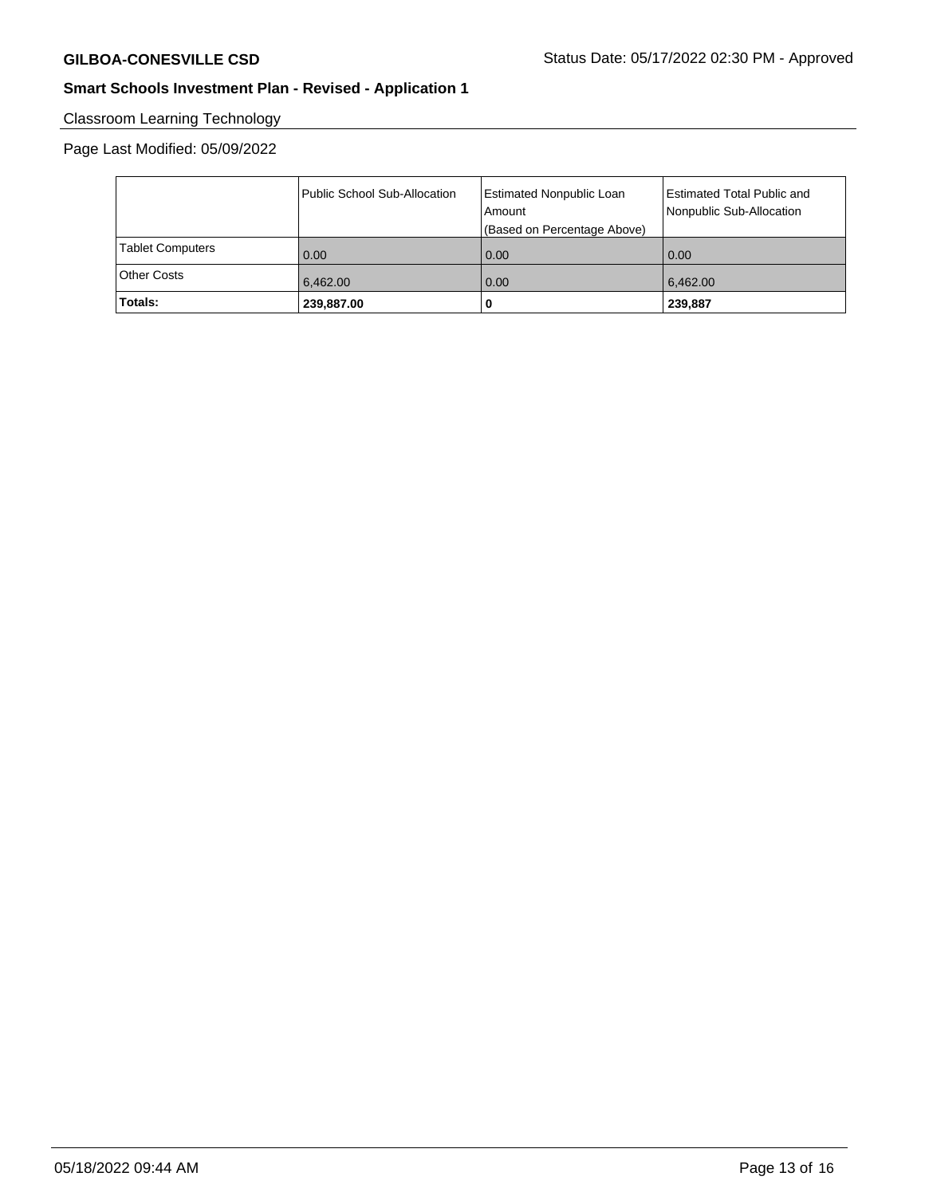# Classroom Learning Technology

## Page Last Modified: 05/09/2022

|                         | Public School Sub-Allocation | <b>Estimated Nonpublic Loan</b><br>Amount<br>(Based on Percentage Above) | Estimated Total Public and<br>Nonpublic Sub-Allocation |
|-------------------------|------------------------------|--------------------------------------------------------------------------|--------------------------------------------------------|
| <b>Tablet Computers</b> | 0.00                         | 0.00                                                                     | 0.00                                                   |
| Other Costs             | 6,462.00                     | 0.00                                                                     | 6,462.00                                               |
| Totals:                 | 239,887.00                   |                                                                          | 239,887                                                |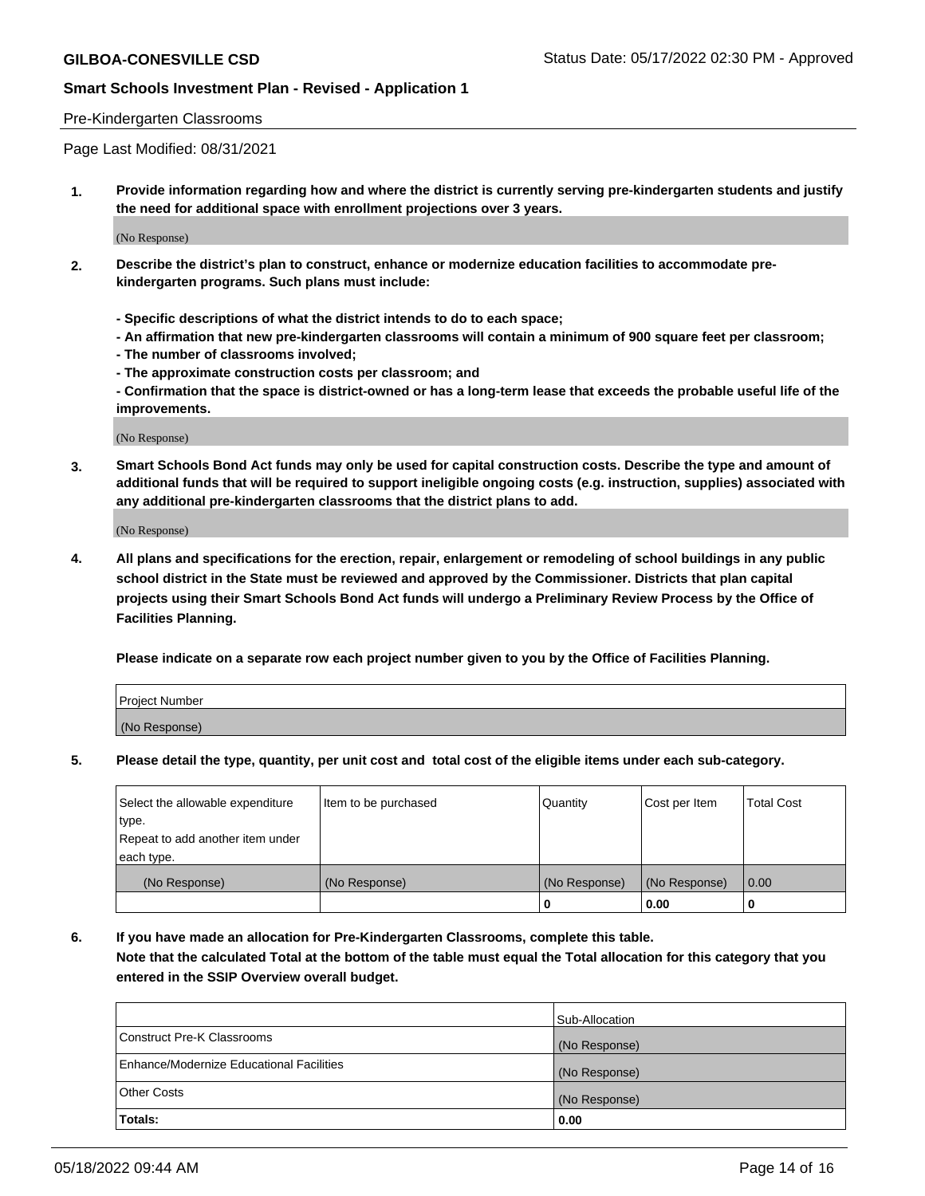#### Pre-Kindergarten Classrooms

Page Last Modified: 08/31/2021

**1. Provide information regarding how and where the district is currently serving pre-kindergarten students and justify the need for additional space with enrollment projections over 3 years.**

(No Response)

- **2. Describe the district's plan to construct, enhance or modernize education facilities to accommodate prekindergarten programs. Such plans must include:**
	- **Specific descriptions of what the district intends to do to each space;**
	- **An affirmation that new pre-kindergarten classrooms will contain a minimum of 900 square feet per classroom;**
	- **The number of classrooms involved;**
	- **The approximate construction costs per classroom; and**
	- **Confirmation that the space is district-owned or has a long-term lease that exceeds the probable useful life of the improvements.**

(No Response)

**3. Smart Schools Bond Act funds may only be used for capital construction costs. Describe the type and amount of additional funds that will be required to support ineligible ongoing costs (e.g. instruction, supplies) associated with any additional pre-kindergarten classrooms that the district plans to add.**

(No Response)

**4. All plans and specifications for the erection, repair, enlargement or remodeling of school buildings in any public school district in the State must be reviewed and approved by the Commissioner. Districts that plan capital projects using their Smart Schools Bond Act funds will undergo a Preliminary Review Process by the Office of Facilities Planning.**

**Please indicate on a separate row each project number given to you by the Office of Facilities Planning.**

| Project Number |  |
|----------------|--|
| (No Response)  |  |

**5. Please detail the type, quantity, per unit cost and total cost of the eligible items under each sub-category.**

| Select the allowable expenditure | Item to be purchased | Quantity      | Cost per Item | <b>Total Cost</b> |
|----------------------------------|----------------------|---------------|---------------|-------------------|
| type.                            |                      |               |               |                   |
| Repeat to add another item under |                      |               |               |                   |
| each type.                       |                      |               |               |                   |
| (No Response)                    | (No Response)        | (No Response) | (No Response) | 0.00              |
|                                  |                      | 0             | 0.00          |                   |

**6. If you have made an allocation for Pre-Kindergarten Classrooms, complete this table.**

**Note that the calculated Total at the bottom of the table must equal the Total allocation for this category that you entered in the SSIP Overview overall budget.**

|                                          | Sub-Allocation |
|------------------------------------------|----------------|
| Construct Pre-K Classrooms               | (No Response)  |
| Enhance/Modernize Educational Facilities | (No Response)  |
| <b>Other Costs</b>                       | (No Response)  |
| Totals:                                  | 0.00           |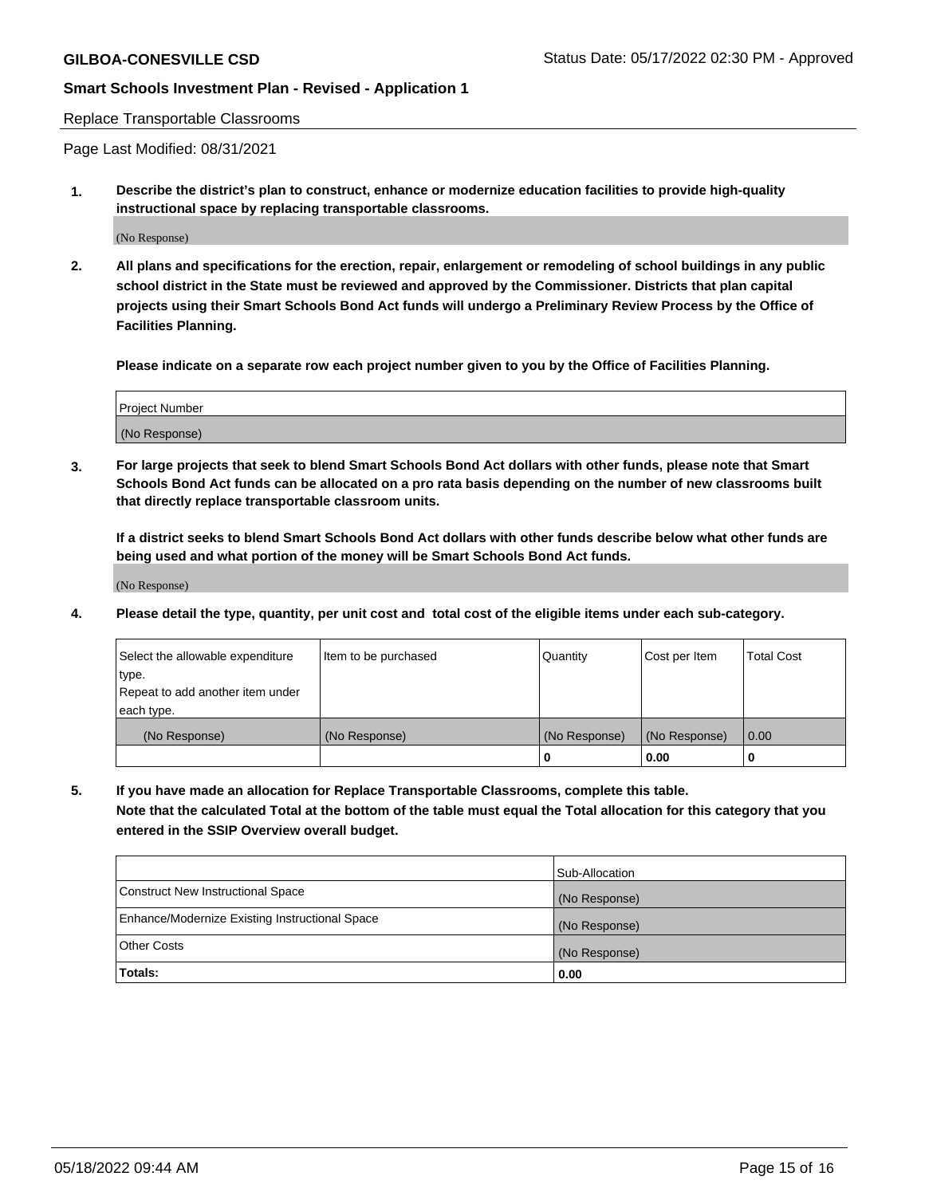#### Replace Transportable Classrooms

Page Last Modified: 08/31/2021

**1. Describe the district's plan to construct, enhance or modernize education facilities to provide high-quality instructional space by replacing transportable classrooms.**

(No Response)

**2. All plans and specifications for the erection, repair, enlargement or remodeling of school buildings in any public school district in the State must be reviewed and approved by the Commissioner. Districts that plan capital projects using their Smart Schools Bond Act funds will undergo a Preliminary Review Process by the Office of Facilities Planning.**

**Please indicate on a separate row each project number given to you by the Office of Facilities Planning.**

| <b>Project Number</b> |  |
|-----------------------|--|
| (No Response)         |  |

**3. For large projects that seek to blend Smart Schools Bond Act dollars with other funds, please note that Smart Schools Bond Act funds can be allocated on a pro rata basis depending on the number of new classrooms built that directly replace transportable classroom units.**

**If a district seeks to blend Smart Schools Bond Act dollars with other funds describe below what other funds are being used and what portion of the money will be Smart Schools Bond Act funds.**

(No Response)

**4. Please detail the type, quantity, per unit cost and total cost of the eligible items under each sub-category.**

| Select the allowable expenditure | Item to be purchased | Quantity      | Cost per Item | <b>Total Cost</b> |
|----------------------------------|----------------------|---------------|---------------|-------------------|
| type.                            |                      |               |               |                   |
| Repeat to add another item under |                      |               |               |                   |
| each type.                       |                      |               |               |                   |
| (No Response)                    | (No Response)        | (No Response) | (No Response) | 0.00              |
|                                  |                      | U             | 0.00          |                   |

**5. If you have made an allocation for Replace Transportable Classrooms, complete this table.**

**Note that the calculated Total at the bottom of the table must equal the Total allocation for this category that you entered in the SSIP Overview overall budget.**

|                                                | Sub-Allocation |
|------------------------------------------------|----------------|
| Construct New Instructional Space              | (No Response)  |
| Enhance/Modernize Existing Instructional Space | (No Response)  |
| <b>Other Costs</b>                             | (No Response)  |
| Totals:                                        | 0.00           |